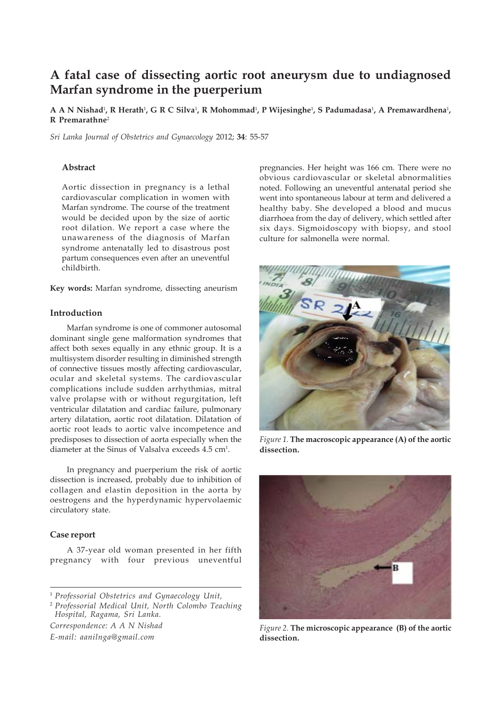# **A fatal case of dissecting aortic root aneurysm due to undiagnosed Marfan syndrome in the puerperium**

 $\bf{A}$   $\bf{A}$   $\bf{N}$   $\bf{N}$   $\bf{S}$   $\bf{A}$   $\bf{A}$   $\bf{A}$   $\bf{C}$   $\bf{S}$   $\bf{N}$   $\bf{V}$   $\bf{A}$   $\bf{R}$   $\bf{M}$   $\bf{A}$   $\bf{D}$   $\bf{A}$   $\bf{A}$   $\bf{A}$   $\bf{A}$   $\bf{A}$   $\bf{A}$   $\bf{A}$   $\bf{A}$   $\bf{A}$   $\bf{A}$   $\bf{A}$ **R Premarathne**<sup>2</sup>

*Sri Lanka Journal of Obstetrics and Gynaecology* 2012; **34**: 55-57

#### **Abstract**

Aortic dissection in pregnancy is a lethal cardiovascular complication in women with Marfan syndrome. The course of the treatment would be decided upon by the size of aortic root dilation. We report a case where the unawareness of the diagnosis of Marfan syndrome antenatally led to disastrous post partum consequences even after an uneventful childbirth.

**Key words:** Marfan syndrome, dissecting aneurism

# **Introduction**

Marfan syndrome is one of commoner autosomal dominant single gene malformation syndromes that affect both sexes equally in any ethnic group. It is a multisystem disorder resulting in diminished strength of connective tissues mostly affecting cardiovascular, ocular and skeletal systems. The cardiovascular complications include sudden arrhythmias, mitral valve prolapse with or without regurgitation, left ventricular dilatation and cardiac failure, pulmonary artery dilatation, aortic root dilatation. Dilatation of aortic root leads to aortic valve incompetence and predisposes to dissection of aorta especially when the diameter at the Sinus of Valsalva exceeds 4.5 cm<sup>1</sup>.

In pregnancy and puerperium the risk of aortic dissection is increased, probably due to inhibition of collagen and elastin deposition in the aorta by oestrogens and the hyperdynamic hypervolaemic circulatory state.

## **Case report**

A 37-year old woman presented in her fifth pregnancy with four previous uneventful

<sup>2</sup> *Professorial Medical Unit, North Colombo Teaching Hospital, Ragama, Sri Lanka.*

*Correspondence: A A N Nishad E-mail: aanilnga@gmail.com*

pregnancies. Her height was 166 cm. There were no obvious cardiovascular or skeletal abnormalities noted. Following an uneventful antenatal period she went into spontaneous labour at term and delivered a healthy baby. She developed a blood and mucus diarrhoea from the day of delivery, which settled after six days. Sigmoidoscopy with biopsy, and stool culture for salmonella were normal.



*Figure 1.* **The macroscopic appearance (A) of the aortic dissection.**



*Figure 2.* **The microscopic appearance (B) of the aortic dissection.**

<sup>1</sup> *Professorial Obstetrics and Gynaecology Unit,*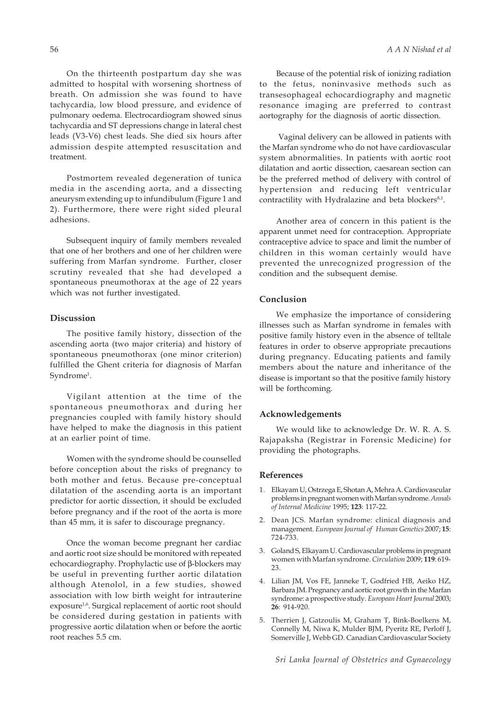On the thirteenth postpartum day she was admitted to hospital with worsening shortness of breath. On admission she was found to have tachycardia, low blood pressure, and evidence of pulmonary oedema. Electrocardiogram showed sinus tachycardia and ST depressions change in lateral chest leads (V3-V6) chest leads. She died six hours after admission despite attempted resuscitation and treatment.

Postmortem revealed degeneration of tunica media in the ascending aorta, and a dissecting aneurysm extending up to infundibulum (Figure 1 and 2). Furthermore, there were right sided pleural adhesions.

Subsequent inquiry of family members revealed that one of her brothers and one of her children were suffering from Marfan syndrome. Further, closer scrutiny revealed that she had developed a spontaneous pneumothorax at the age of 22 years which was not further investigated.

## **Discussion**

The positive family history, dissection of the ascending aorta (two major criteria) and history of spontaneous pneumothorax (one minor criterion) fulfilled the Ghent criteria for diagnosis of Marfan Syndrome<sup>1</sup>.

Vigilant attention at the time of the spontaneous pneumothorax and during her pregnancies coupled with family history should have helped to make the diagnosis in this patient at an earlier point of time.

Women with the syndrome should be counselled before conception about the risks of pregnancy to both mother and fetus. Because pre-conceptual dilatation of the ascending aorta is an important predictor for aortic dissection, it should be excluded before pregnancy and if the root of the aorta is more than 45 mm, it is safer to discourage pregnancy.

Once the woman become pregnant her cardiac and aortic root size should be monitored with repeated echocardiography. Prophylactic use of β-blockers may be useful in preventing further aortic dilatation although Atenolol, in a few studies, showed association with low birth weight for intrauterine exposure<sup>1,6</sup>. Surgical replacement of aortic root should be considered during gestation in patients with progressive aortic dilatation when or before the aortic root reaches 5.5 cm.

Because of the potential risk of ionizing radiation to the fetus, noninvasive methods such as transesophageal echocardiography and magnetic resonance imaging are preferred to contrast aortography for the diagnosis of aortic dissection.

 Vaginal delivery can be allowed in patients with the Marfan syndrome who do not have cardiovascular system abnormalities. In patients with aortic root dilatation and aortic dissection, caesarean section can be the preferred method of delivery with control of hypertension and reducing left ventricular contractility with Hydralazine and beta blockers<sup>8,1</sup>.

Another area of concern in this patient is the apparent unmet need for contraception. Appropriate contraceptive advice to space and limit the number of children in this woman certainly would have prevented the unrecognized progression of the condition and the subsequent demise.

## **Conclusion**

We emphasize the importance of considering illnesses such as Marfan syndrome in females with positive family history even in the absence of telltale features in order to observe appropriate precautions during pregnancy. Educating patients and family members about the nature and inheritance of the disease is important so that the positive family history will be forthcoming.

#### **Acknowledgements**

We would like to acknowledge Dr. W. R. A. S. Rajapaksha (Registrar in Forensic Medicine) for providing the photographs.

### **References**

- 1. Elkayam U, Ostrzega E, Shotan A, Mehra A. Cardiovascular problems in pregnant women with Marfan syndrome. *Annals of Internal Medicine* 1995; **123**: 117-22.
- 2. Dean JCS. Marfan syndrome: clinical diagnosis and management. *European Journal of Human Genetics* 2007; **15**: 724-733.
- 3. Goland S, Elkayam U. Cardiovascular problems in pregnant women with Marfan syndrome. *Circulation* 2009; **119**: 619- 23.
- 4. Lilian JM, Vos FE, Janneke T, Godfried HB, Aeiko HZ, Barbara JM. Pregnancy and aortic root growth in the Marfan syndrome: a prospective study. *European Heart Journal* 2003; **26**: 914-920.
- 5. Therrien J, Gatzoulis M, Graham T, Bink-Boelkens M, Connelly M, Niwa K, Mulder BJM, Pyeritz RE, Perloff J, Somerville J, Webb GD. Canadian Cardiovascular Society

*Sri Lanka Journal of Obstetrics and Gynaecology*